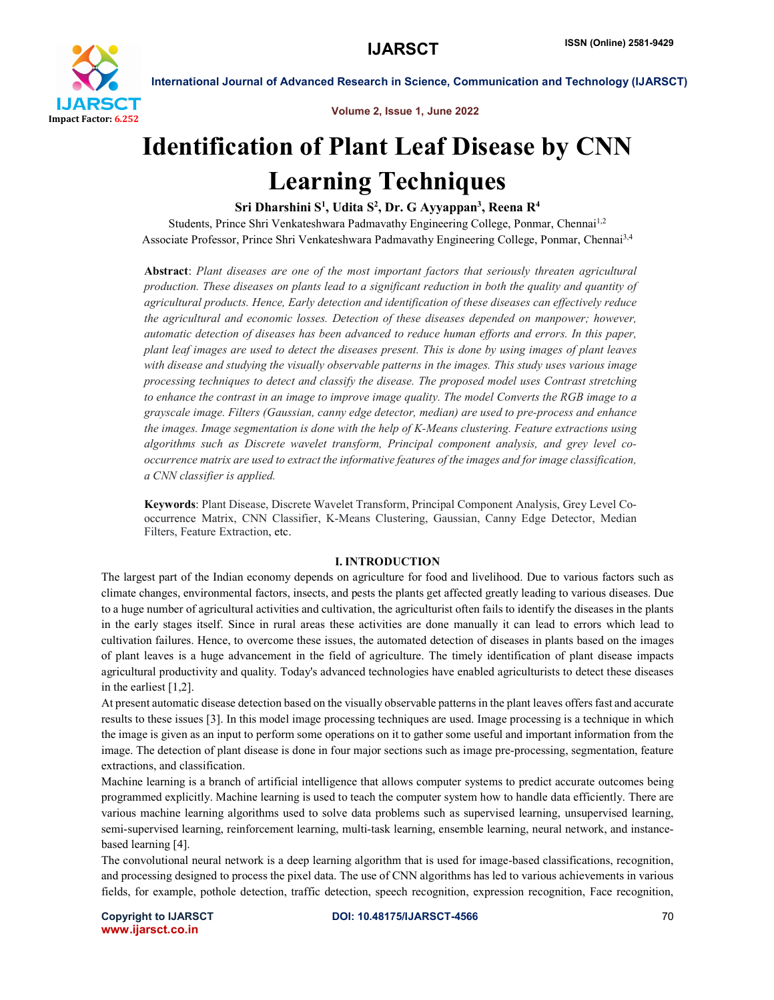

Volume 2, Issue 1, June 2022

# Identification of Plant Leaf Disease by CNN Learning Techniques

# Sri Dharshini S<sup>1</sup>, Udita S<sup>2</sup>, Dr. G Ayyappan<sup>3</sup>, Reena R<sup>4</sup>

Students, Prince Shri Venkateshwara Padmavathy Engineering College, Ponmar, Chennai<sup>1,2</sup> Associate Professor, Prince Shri Venkateshwara Padmavathy Engineering College, Ponmar, Chennai3,4

Abstract: *Plant diseases are one of the most important factors that seriously threaten agricultural production. These diseases on plants lead to a significant reduction in both the quality and quantity of agricultural products. Hence, Early detection and identification of these diseases can effectively reduce the agricultural and economic losses. Detection of these diseases depended on manpower; however, automatic detection of diseases has been advanced to reduce human efforts and errors. In this paper, plant leaf images are used to detect the diseases present. This is done by using images of plant leaves with disease and studying the visually observable patterns in the images. This study uses various image processing techniques to detect and classify the disease. The proposed model uses Contrast stretching to enhance the contrast in an image to improve image quality. The model Converts the RGB image to a grayscale image. Filters (Gaussian, canny edge detector, median) are used to pre-process and enhance the images. Image segmentation is done with the help of K-Means clustering. Feature extractions using algorithms such as Discrete wavelet transform, Principal component analysis, and grey level cooccurrence matrix are used to extract the informative features of the images and for image classification, a CNN classifier is applied.*

Keywords: Plant Disease, Discrete Wavelet Transform, Principal Component Analysis, Grey Level Cooccurrence Matrix, CNN Classifier, K-Means Clustering, Gaussian, Canny Edge Detector, Median Filters, Feature Extraction, etc.

# I. INTRODUCTION

The largest part of the Indian economy depends on agriculture for food and livelihood. Due to various factors such as climate changes, environmental factors, insects, and pests the plants get affected greatly leading to various diseases. Due to a huge number of agricultural activities and cultivation, the agriculturist often fails to identify the diseases in the plants in the early stages itself. Since in rural areas these activities are done manually it can lead to errors which lead to cultivation failures. Hence, to overcome these issues, the automated detection of diseases in plants based on the images of plant leaves is a huge advancement in the field of agriculture. The timely identification of plant disease impacts agricultural productivity and quality. Today's advanced technologies have enabled agriculturists to detect these diseases in the earliest [1,2].

At present automatic disease detection based on the visually observable patterns in the plant leaves offers fast and accurate results to these issues [3]. In this model image processing techniques are used. Image processing is a technique in which the image is given as an input to perform some operations on it to gather some useful and important information from the image. The detection of plant disease is done in four major sections such as image pre-processing, segmentation, feature extractions, and classification.

Machine learning is a branch of artificial intelligence that allows computer systems to predict accurate outcomes being programmed explicitly. Machine learning is used to teach the computer system how to handle data efficiently. There are various machine learning algorithms used to solve data problems such as supervised learning, unsupervised learning, semi-supervised learning, reinforcement learning, multi-task learning, ensemble learning, neural network, and instancebased learning [4].

The convolutional neural network is a deep learning algorithm that is used for image-based classifications, recognition, and processing designed to process the pixel data. The use of CNN algorithms has led to various achievements in various fields, for example, pothole detection, traffic detection, speech recognition, expression recognition, Face recognition,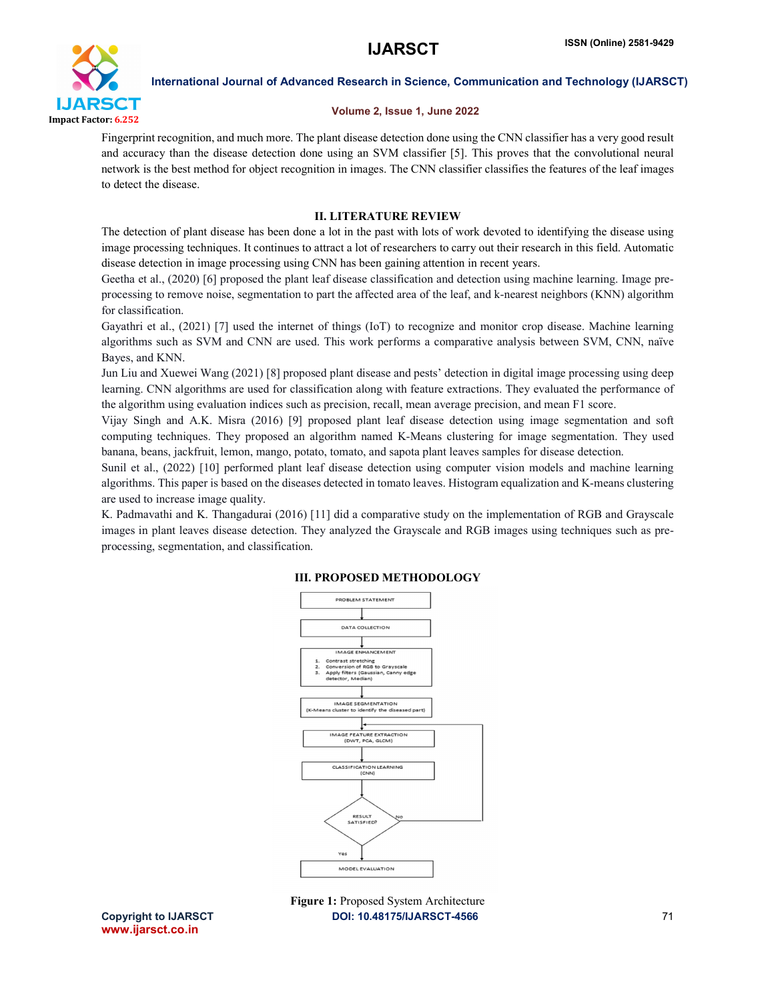

# Volume 2, Issue 1, June 2022

Fingerprint recognition, and much more. The plant disease detection done using the CNN classifier has a very good result and accuracy than the disease detection done using an SVM classifier [5]. This proves that the convolutional neural network is the best method for object recognition in images. The CNN classifier classifies the features of the leaf images to detect the disease.

# II. LITERATURE REVIEW

The detection of plant disease has been done a lot in the past with lots of work devoted to identifying the disease using image processing techniques. It continues to attract a lot of researchers to carry out their research in this field. Automatic disease detection in image processing using CNN has been gaining attention in recent years.

Geetha et al., (2020) [6] proposed the plant leaf disease classification and detection using machine learning. Image preprocessing to remove noise, segmentation to part the affected area of the leaf, and k-nearest neighbors (KNN) algorithm for classification.

Gayathri et al., (2021) [7] used the internet of things (IoT) to recognize and monitor crop disease. Machine learning algorithms such as SVM and CNN are used. This work performs a comparative analysis between SVM, CNN, naïve Bayes, and KNN.

Jun Liu and Xuewei Wang (2021) [8] proposed plant disease and pests' detection in digital image processing using deep learning. CNN algorithms are used for classification along with feature extractions. They evaluated the performance of the algorithm using evaluation indices such as precision, recall, mean average precision, and mean F1 score.

Vijay Singh and A.K. Misra (2016) [9] proposed plant leaf disease detection using image segmentation and soft computing techniques. They proposed an algorithm named K-Means clustering for image segmentation. They used banana, beans, jackfruit, lemon, mango, potato, tomato, and sapota plant leaves samples for disease detection.

Sunil et al., (2022) [10] performed plant leaf disease detection using computer vision models and machine learning algorithms. This paper is based on the diseases detected in tomato leaves. Histogram equalization and K-means clustering are used to increase image quality.

K. Padmavathi and K. Thangadurai (2016) [11] did a comparative study on the implementation of RGB and Grayscale images in plant leaves disease detection. They analyzed the Grayscale and RGB images using techniques such as preprocessing, segmentation, and classification.



### III. PROPOSED METHODOLOGY

Copyright to IJARSCT **DOI: 10.48175/IJARSCT-4566** 71 Figure 1: Proposed System Architecture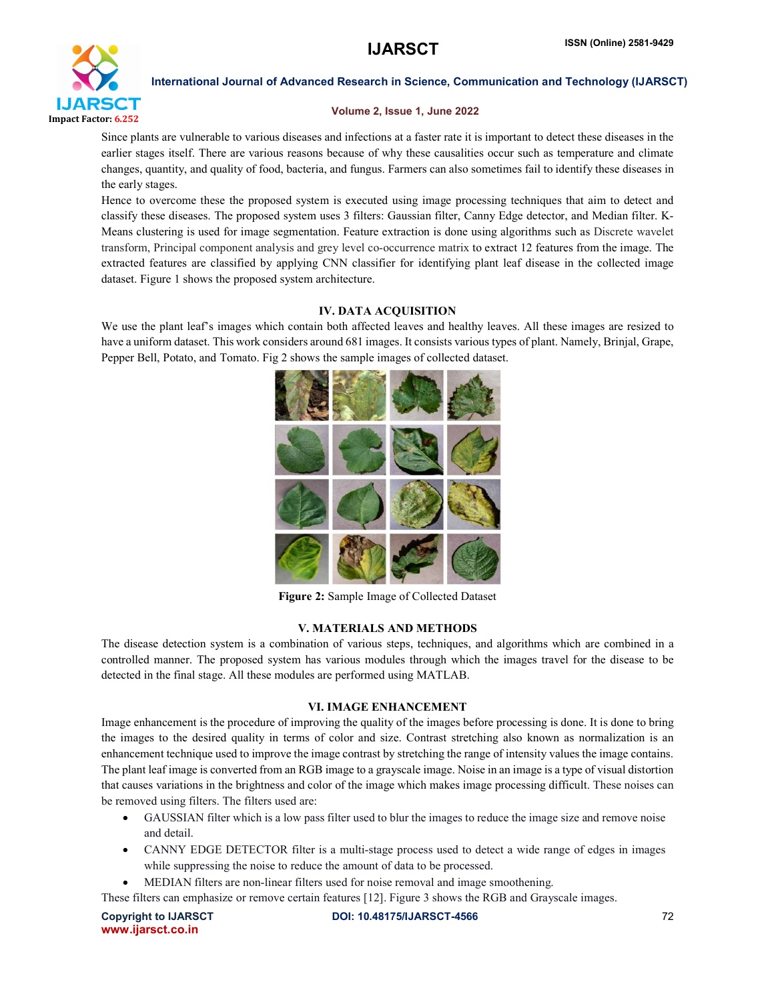

## Volume 2, Issue 1, June 2022

Since plants are vulnerable to various diseases and infections at a faster rate it is important to detect these diseases in the earlier stages itself. There are various reasons because of why these causalities occur such as temperature and climate changes, quantity, and quality of food, bacteria, and fungus. Farmers can also sometimes fail to identify these diseases in the early stages.

Hence to overcome these the proposed system is executed using image processing techniques that aim to detect and classify these diseases. The proposed system uses 3 filters: Gaussian filter, Canny Edge detector, and Median filter. K-Means clustering is used for image segmentation. Feature extraction is done using algorithms such as Discrete wavelet transform, Principal component analysis and grey level co-occurrence matrix to extract 12 features from the image. The extracted features are classified by applying CNN classifier for identifying plant leaf disease in the collected image dataset. Figure 1 shows the proposed system architecture.

# IV. DATA ACQUISITION

We use the plant leaf's images which contain both affected leaves and healthy leaves. All these images are resized to have a uniform dataset. This work considers around 681 images. It consists various types of plant. Namely, Brinjal, Grape, Pepper Bell, Potato, and Tomato. Fig 2 shows the sample images of collected dataset.



Figure 2: Sample Image of Collected Dataset

# V. MATERIALS AND METHODS

The disease detection system is a combination of various steps, techniques, and algorithms which are combined in a controlled manner. The proposed system has various modules through which the images travel for the disease to be detected in the final stage. All these modules are performed using MATLAB.

# VI. IMAGE ENHANCEMENT

Image enhancement is the procedure of improving the quality of the images before processing is done. It is done to bring the images to the desired quality in terms of color and size. Contrast stretching also known as normalization is an enhancement technique used to improve the image contrast by stretching the range of intensity values the image contains. The plant leaf image is converted from an RGB image to a grayscale image. Noise in an image is a type of visual distortion that causes variations in the brightness and color of the image which makes image processing difficult. These noises can be removed using filters. The filters used are:

- GAUSSIAN filter which is a low pass filter used to blur the images to reduce the image size and remove noise and detail.
- CANNY EDGE DETECTOR filter is a multi-stage process used to detect a wide range of edges in images while suppressing the noise to reduce the amount of data to be processed.
- MEDIAN filters are non-linear filters used for noise removal and image smoothening.

These filters can emphasize or remove certain features [12]. Figure 3 shows the RGB and Grayscale images.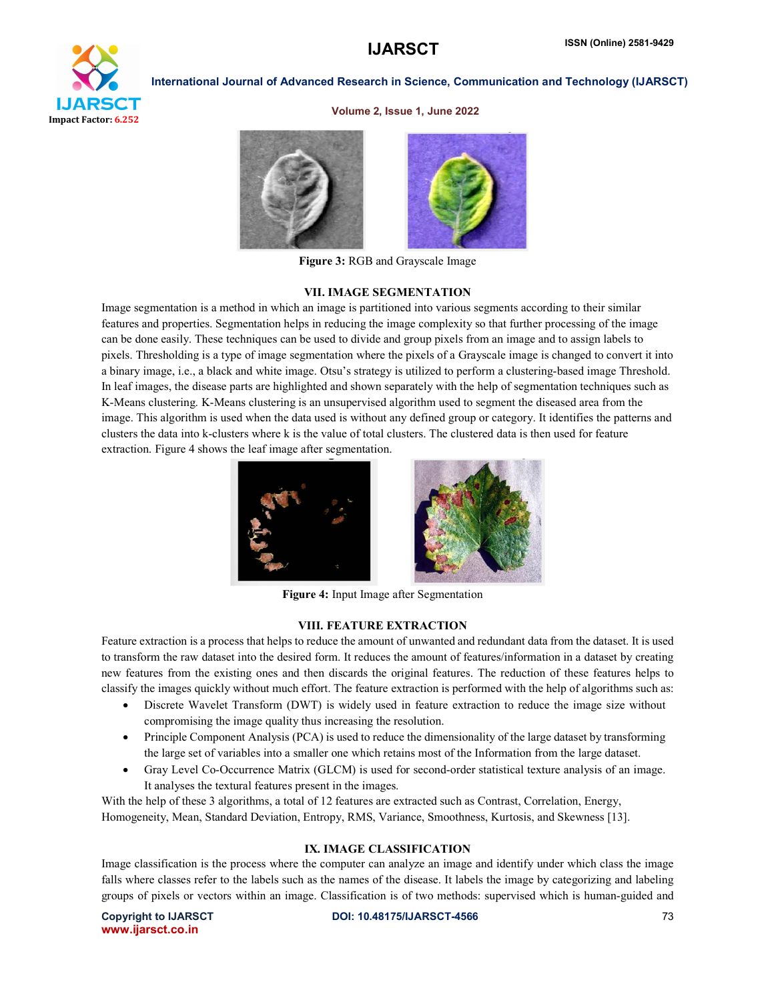

#### Volume 2, Issue 1, June 2022



Figure 3: RGB and Grayscale Image

### VII. IMAGE SEGMENTATION

Image segmentation is a method in which an image is partitioned into various segments according to their similar features and properties. Segmentation helps in reducing the image complexity so that further processing of the image can be done easily. These techniques can be used to divide and group pixels from an image and to assign labels to pixels. Thresholding is a type of image segmentation where the pixels of a Grayscale image is changed to convert it into a binary image, i.e., a black and white image. Otsu's strategy is utilized to perform a clustering-based image Threshold. In leaf images, the disease parts are highlighted and shown separately with the help of segmentation techniques such as K-Means clustering. K-Means clustering is an unsupervised algorithm used to segment the diseased area from the image. This algorithm is used when the data used is without any defined group or category. It identifies the patterns and clusters the data into k-clusters where k is the value of total clusters. The clustered data is then used for feature extraction. Figure 4 shows the leaf image after segmentation.





Figure 4: Input Image after Segmentation

### VIII. FEATURE EXTRACTION

Feature extraction is a process that helps to reduce the amount of unwanted and redundant data from the dataset. It is used to transform the raw dataset into the desired form. It reduces the amount of features/information in a dataset by creating new features from the existing ones and then discards the original features. The reduction of these features helps to classify the images quickly without much effort. The feature extraction is performed with the help of algorithms such as:

- Discrete Wavelet Transform (DWT) is widely used in feature extraction to reduce the image size without compromising the image quality thus increasing the resolution.
- Principle Component Analysis (PCA) is used to reduce the dimensionality of the large dataset by transforming the large set of variables into a smaller one which retains most of the Information from the large dataset.
- Gray Level Co-Occurrence Matrix (GLCM) is used for second-order statistical texture analysis of an image. It analyses the textural features present in the images.

With the help of these 3 algorithms, a total of 12 features are extracted such as Contrast, Correlation, Energy, Homogeneity, Mean, Standard Deviation, Entropy, RMS, Variance, Smoothness, Kurtosis, and Skewness [13].

# IX. IMAGE CLASSIFICATION

Image classification is the process where the computer can analyze an image and identify under which class the image falls where classes refer to the labels such as the names of the disease. It labels the image by categorizing and labeling groups of pixels or vectors within an image. Classification is of two methods: supervised which is human-guided and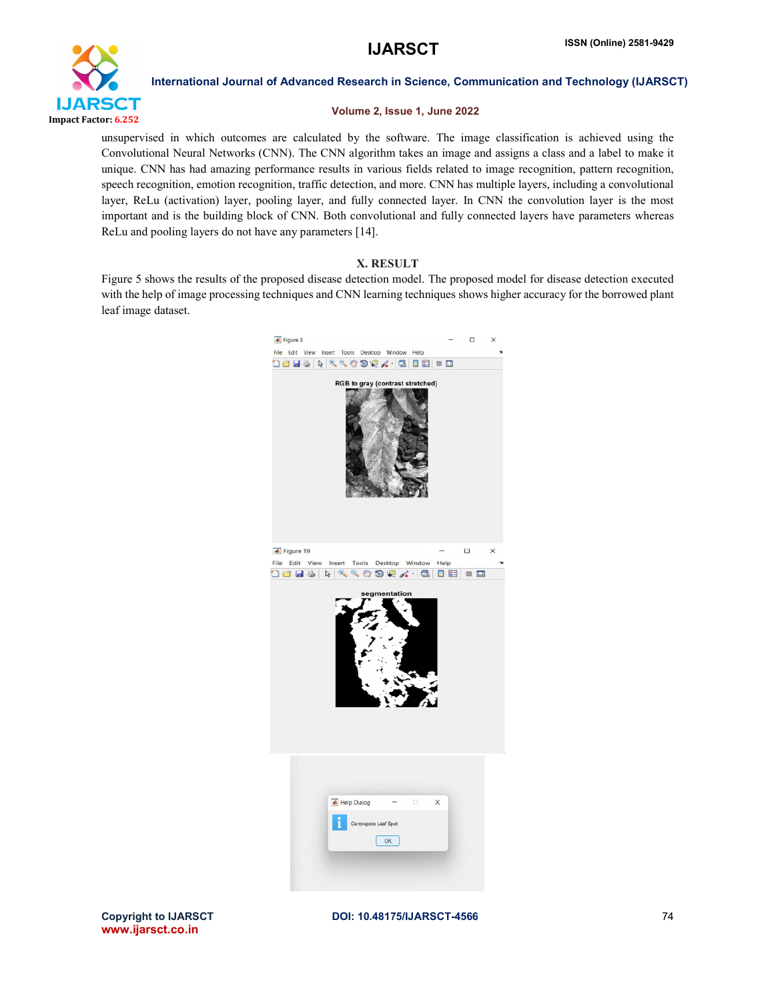

### Volume 2, Issue 1, June 2022

unsupervised in which outcomes are calculated by the software. The image classification is achieved using the Convolutional Neural Networks (CNN). The CNN algorithm takes an image and assigns a class and a label to make it unique. CNN has had amazing performance results in various fields related to image recognition, pattern recognition, speech recognition, emotion recognition, traffic detection, and more. CNN has multiple layers, including a convolutional layer, ReLu (activation) layer, pooling layer, and fully connected layer. In CNN the convolution layer is the most important and is the building block of CNN. Both convolutional and fully connected layers have parameters whereas ReLu and pooling layers do not have any parameters [14].

### X. RESULT

Figure 5 shows the results of the proposed disease detection model. The proposed model for disease detection executed with the help of image processing techniques and CNN learning techniques shows higher accuracy for the borrowed plant leaf image dataset.

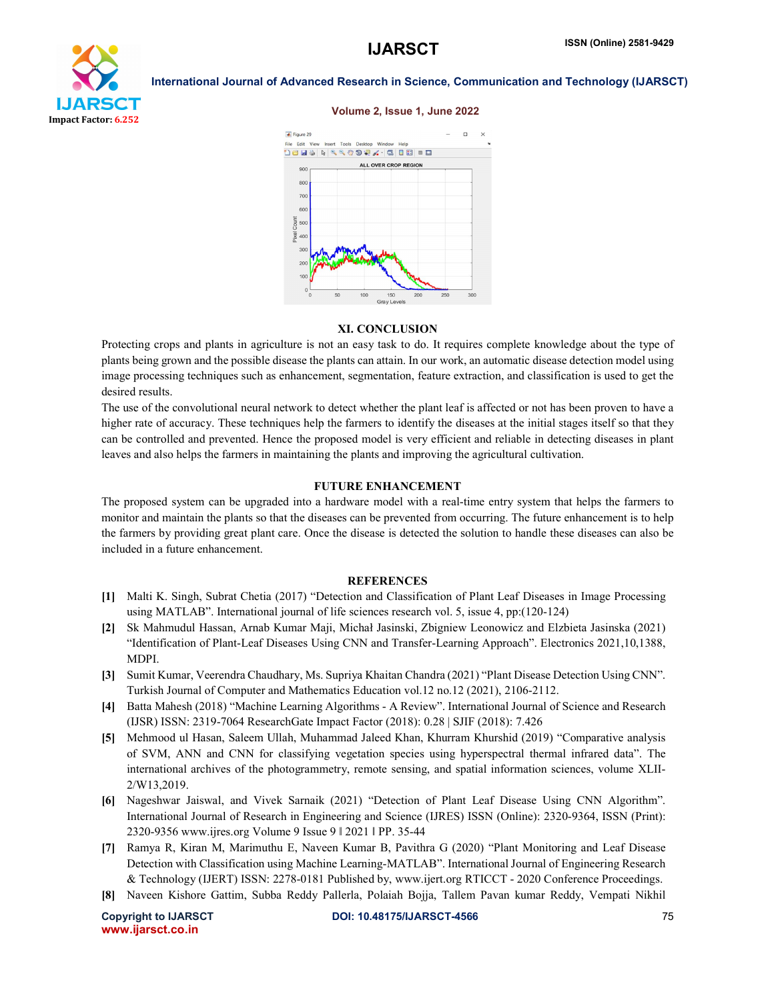

#### Volume 2, Issue 1, June 2022



#### XI. CONCLUSION

Protecting crops and plants in agriculture is not an easy task to do. It requires complete knowledge about the type of plants being grown and the possible disease the plants can attain. In our work, an automatic disease detection model using image processing techniques such as enhancement, segmentation, feature extraction, and classification is used to get the desired results.

The use of the convolutional neural network to detect whether the plant leaf is affected or not has been proven to have a higher rate of accuracy. These techniques help the farmers to identify the diseases at the initial stages itself so that they can be controlled and prevented. Hence the proposed model is very efficient and reliable in detecting diseases in plant leaves and also helps the farmers in maintaining the plants and improving the agricultural cultivation.

#### FUTURE ENHANCEMENT

The proposed system can be upgraded into a hardware model with a real-time entry system that helps the farmers to monitor and maintain the plants so that the diseases can be prevented from occurring. The future enhancement is to help the farmers by providing great plant care. Once the disease is detected the solution to handle these diseases can also be included in a future enhancement.

#### **REFERENCES**

- [1] Malti K. Singh, Subrat Chetia (2017) "Detection and Classification of Plant Leaf Diseases in Image Processing using MATLAB". International journal of life sciences research vol. 5, issue 4, pp:(120-124)
- [2] Sk Mahmudul Hassan, Arnab Kumar Maji, Michał Jasinski, Zbigniew Leonowicz and Elzbieta Jasinska (2021) "Identification of Plant-Leaf Diseases Using CNN and Transfer-Learning Approach". Electronics 2021,10,1388, MDPI.
- [3] Sumit Kumar, Veerendra Chaudhary, Ms. Supriya Khaitan Chandra (2021) "Plant Disease Detection Using CNN". Turkish Journal of Computer and Mathematics Education vol.12 no.12 (2021), 2106-2112.
- [4] Batta Mahesh (2018) "Machine Learning Algorithms A Review". International Journal of Science and Research (IJSR) ISSN: 2319-7064 ResearchGate Impact Factor (2018): 0.28 | SJIF (2018): 7.426
- [5] Mehmood ul Hasan, Saleem Ullah, Muhammad Jaleed Khan, Khurram Khurshid (2019) "Comparative analysis of SVM, ANN and CNN for classifying vegetation species using hyperspectral thermal infrared data". The international archives of the photogrammetry, remote sensing, and spatial information sciences, volume XLII-2/W13,2019.
- [6] Nageshwar Jaiswal, and Vivek Sarnaik (2021) "Detection of Plant Leaf Disease Using CNN Algorithm". International Journal of Research in Engineering and Science (IJRES) ISSN (Online): 2320-9364, ISSN (Print): 2320-9356 www.ijres.org Volume 9 Issue 9 ǁ 2021 ǁ PP. 35-44
- [7] Ramya R, Kiran M, Marimuthu E, Naveen Kumar B, Pavithra G (2020) "Plant Monitoring and Leaf Disease Detection with Classification using Machine Learning-MATLAB". International Journal of Engineering Research & Technology (IJERT) ISSN: 2278-0181 Published by, www.ijert.org RTICCT - 2020 Conference Proceedings.
- [8] Naveen Kishore Gattim, Subba Reddy Pallerla, Polaiah Bojja, Tallem Pavan kumar Reddy, Vempati Nikhil